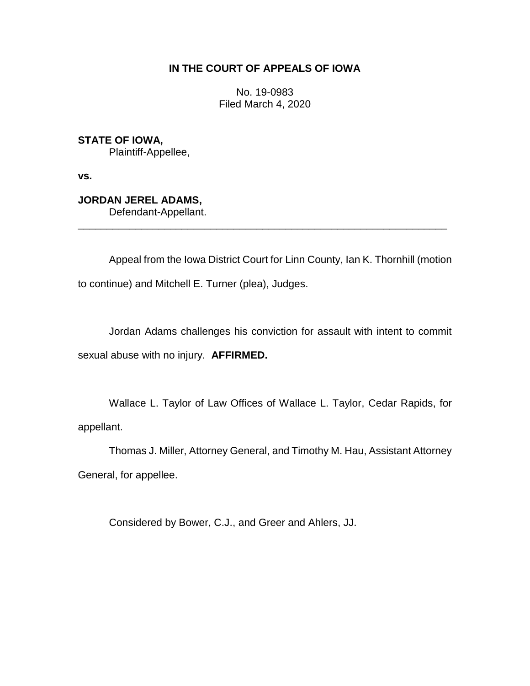# **IN THE COURT OF APPEALS OF IOWA**

No. 19-0983 Filed March 4, 2020

**STATE OF IOWA,** Plaintiff-Appellee,

**vs.**

**JORDAN JEREL ADAMS,** Defendant-Appellant.

Appeal from the Iowa District Court for Linn County, Ian K. Thornhill (motion to continue) and Mitchell E. Turner (plea), Judges.

\_\_\_\_\_\_\_\_\_\_\_\_\_\_\_\_\_\_\_\_\_\_\_\_\_\_\_\_\_\_\_\_\_\_\_\_\_\_\_\_\_\_\_\_\_\_\_\_\_\_\_\_\_\_\_\_\_\_\_\_\_\_\_\_

Jordan Adams challenges his conviction for assault with intent to commit sexual abuse with no injury. **AFFIRMED.**

Wallace L. Taylor of Law Offices of Wallace L. Taylor, Cedar Rapids, for appellant.

Thomas J. Miller, Attorney General, and Timothy M. Hau, Assistant Attorney General, for appellee.

Considered by Bower, C.J., and Greer and Ahlers, JJ.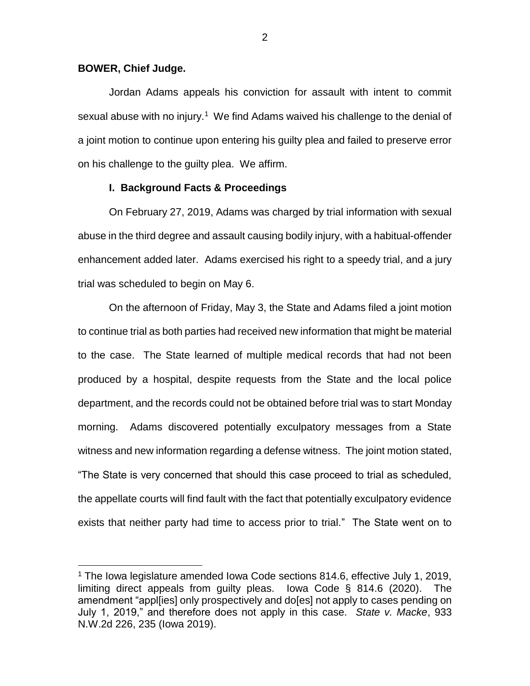### **BOWER, Chief Judge.**

 $\overline{a}$ 

Jordan Adams appeals his conviction for assault with intent to commit sexual abuse with no injury.<sup>1</sup> We find Adams waived his challenge to the denial of a joint motion to continue upon entering his guilty plea and failed to preserve error on his challenge to the guilty plea. We affirm.

# **I. Background Facts & Proceedings**

On February 27, 2019, Adams was charged by trial information with sexual abuse in the third degree and assault causing bodily injury, with a habitual-offender enhancement added later. Adams exercised his right to a speedy trial, and a jury trial was scheduled to begin on May 6.

On the afternoon of Friday, May 3, the State and Adams filed a joint motion to continue trial as both parties had received new information that might be material to the case. The State learned of multiple medical records that had not been produced by a hospital, despite requests from the State and the local police department, and the records could not be obtained before trial was to start Monday morning. Adams discovered potentially exculpatory messages from a State witness and new information regarding a defense witness. The joint motion stated, "The State is very concerned that should this case proceed to trial as scheduled, the appellate courts will find fault with the fact that potentially exculpatory evidence exists that neither party had time to access prior to trial." The State went on to

<sup>&</sup>lt;sup>1</sup> The Iowa legislature amended Iowa Code sections 814.6, effective July 1, 2019, limiting direct appeals from guilty pleas. Iowa Code § 814.6 (2020). The amendment "appl[ies] only prospectively and do[es] not apply to cases pending on July 1, 2019," and therefore does not apply in this case. *State v. Macke*, 933 N.W.2d 226, 235 (Iowa 2019).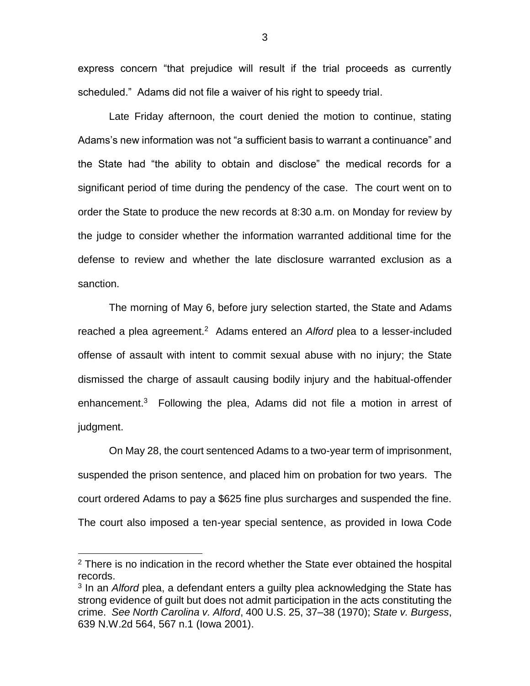express concern "that prejudice will result if the trial proceeds as currently scheduled." Adams did not file a waiver of his right to speedy trial.

Late Friday afternoon, the court denied the motion to continue, stating Adams's new information was not "a sufficient basis to warrant a continuance" and the State had "the ability to obtain and disclose" the medical records for a significant period of time during the pendency of the case. The court went on to order the State to produce the new records at 8:30 a.m. on Monday for review by the judge to consider whether the information warranted additional time for the defense to review and whether the late disclosure warranted exclusion as a sanction.

The morning of May 6, before jury selection started, the State and Adams reached a plea agreement.<sup>2</sup> Adams entered an *Alford* plea to a lesser-included offense of assault with intent to commit sexual abuse with no injury; the State dismissed the charge of assault causing bodily injury and the habitual-offender enhancement.<sup>3</sup> Following the plea, Adams did not file a motion in arrest of judgment.

On May 28, the court sentenced Adams to a two-year term of imprisonment, suspended the prison sentence, and placed him on probation for two years. The court ordered Adams to pay a \$625 fine plus surcharges and suspended the fine. The court also imposed a ten-year special sentence, as provided in Iowa Code

 $\overline{a}$ 

 $2$  There is no indication in the record whether the State ever obtained the hospital records.

<sup>3</sup> In an *Alford* plea, a defendant enters a guilty plea acknowledging the State has strong evidence of guilt but does not admit participation in the acts constituting the crime. *See North Carolina v. Alford*, 400 U.S. 25, 37–38 (1970); *State v. Burgess*, 639 N.W.2d 564, 567 n.1 (Iowa 2001).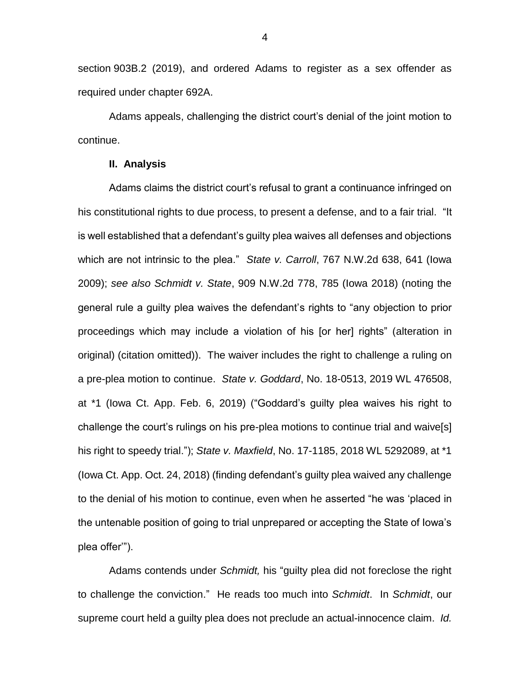section 903B.2 (2019), and ordered Adams to register as a sex offender as required under chapter 692A.

Adams appeals, challenging the district court's denial of the joint motion to continue.

#### **II. Analysis**

Adams claims the district court's refusal to grant a continuance infringed on his constitutional rights to due process, to present a defense, and to a fair trial. "It is well established that a defendant's guilty plea waives all defenses and objections which are not intrinsic to the plea." *State v. Carroll*, 767 N.W.2d 638, 641 (Iowa 2009); *see also Schmidt v. State*, 909 N.W.2d 778, 785 (Iowa 2018) (noting the general rule a guilty plea waives the defendant's rights to "any objection to prior proceedings which may include a violation of his [or her] rights" (alteration in original) (citation omitted)). The waiver includes the right to challenge a ruling on a pre-plea motion to continue. *State v. Goddard*, No. 18-0513, 2019 WL 476508, at \*1 (Iowa Ct. App. Feb. 6, 2019) ("Goddard's guilty plea waives his right to challenge the court's rulings on his pre-plea motions to continue trial and waive[s] his right to speedy trial."); *State v. Maxfield*, No. 17-1185, 2018 WL 5292089, at \*1 (Iowa Ct. App. Oct. 24, 2018) (finding defendant's guilty plea waived any challenge to the denial of his motion to continue, even when he asserted "he was 'placed in the untenable position of going to trial unprepared or accepting the State of Iowa's plea offer'").

Adams contends under *Schmidt,* his "guilty plea did not foreclose the right to challenge the conviction." He reads too much into *Schmidt*. In *Schmidt*, our supreme court held a guilty plea does not preclude an actual-innocence claim. *Id.*

4